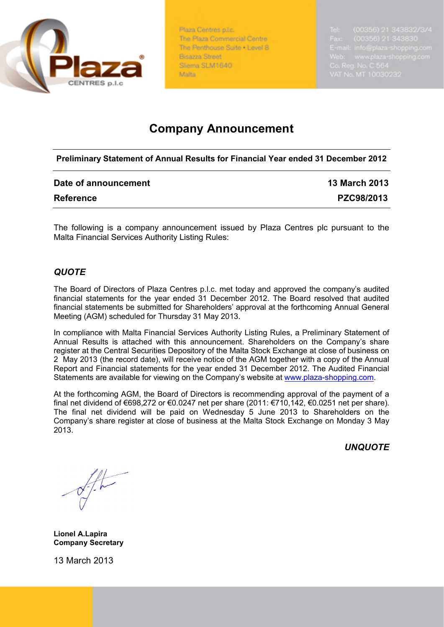

Plaza Centres p.l.c. The Plaza Commercial Centre The Renthouse Suite . Level 8 Bisazza Street Sliema SLM1640 Malta -

# **Company Announcement**

**Preliminary Statement of Annual Results for Financial Year ended 31 December 2012**

| Date of announcement | <b>13 March 2013</b> |
|----------------------|----------------------|
| <b>Reference</b>     | PZC98/2013           |

The following is a company announcement issued by Plaza Centres plc pursuant to the Malta Financial Services Authority Listing Rules:

# *QUOTE*

The Board of Directors of Plaza Centres p.l.c. met today and approved the company's audited financial statements for the year ended 31 December 2012. The Board resolved that audited financial statements be submitted for Shareholders' approval at the forthcoming Annual General Meeting (AGM) scheduled for Thursday 31 May 2013.

In compliance with Malta Financial Services Authority Listing Rules, a Preliminary Statement of Annual Results is attached with this announcement. Shareholders on the Company's share register at the Central Securities Depository of the Malta Stock Exchange at close of business on 2 May 2013 (the record date), will receive notice of the AGM together with a copy of the Annual Report and Financial statements for the year ended 31 December 2012. The Audited Financial Statements are available for viewing on the Company's website at [www.plaza-shopping.com](http://www.plaza-shopping.com/).

At the forthcoming AGM, the Board of Directors is recommending approval of the payment of a final net dividend of €698,272 or €0.0247 net per share (2011: €710,142, €0.0251 net per share). The final net dividend will be paid on Wednesday 5 June 2013 to Shareholders on the Company's share register at close of business at the Malta Stock Exchange on Monday 3 May 2013.

*UNQUOTE*

**Lionel A.Lapira Company Secretary**

13 March 2013